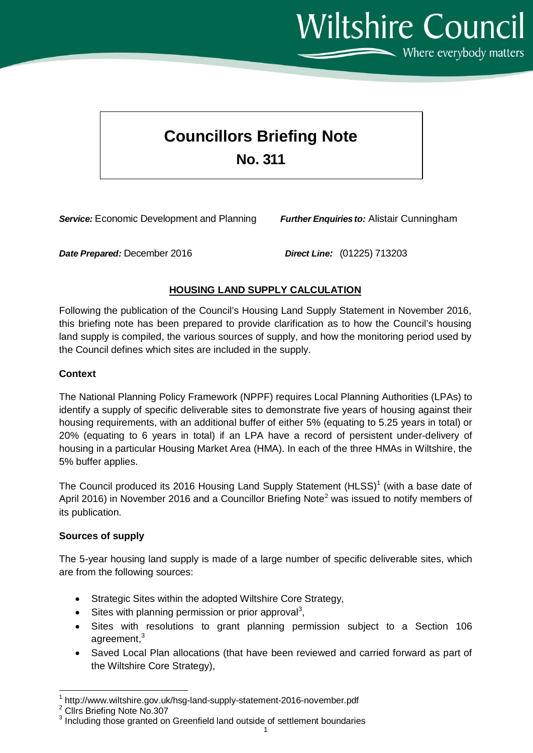**Wiltshire Council** 

### Where everybody matters

# **Councillors Briefing Note**

## **No. 311**

*Service:* Economic Development and Planning *Further Enquiries to:* Alistair Cunningham

*Date Prepared:* December 2016 *Direct Line:* (01225) 713203

#### **HOUSING LAND SUPPLY CALCULATION**

Following the publication of the Council's Housing Land Supply Statement in November 2016, this briefing note has been prepared to provide clarification as to how the Council's housing land supply is compiled, the various sources of supply, and how the monitoring period used by the Council defines which sites are included in the supply.

#### **Context**

The National Planning Policy Framework (NPPF) requires Local Planning Authorities (LPAs) to identify a supply of specific deliverable sites to demonstrate five years of housing against their housing requirements, with an additional buffer of either 5% (equating to 5.25 years in total) or 20% (equating to 6 years in total) if an LPA have a record of persistent under-delivery of housing in a particular Housing Market Area (HMA). In each of the three HMAs in Wiltshire, the 5% buffer applies.

The Council produced its 20[1](#page-0-0)6 Housing Land Supply Statement (HLSS)<sup>1</sup> (with a base date of April [2](#page-0-1)016) in November 2016 and a Councillor Briefing Note<sup>2</sup> was issued to notify members of its publication.

#### **Sources of supply**

The 5-year housing land supply is made of a large number of specific deliverable sites, which are from the following sources:

- Strategic Sites within the adopted Wiltshire Core Strategy,
- $\bullet$  Sites with planning permission or prior approval<sup>[3](#page-0-2)</sup>,
- Sites with resolutions to grant planning permission subject to a Section 106 agreement,<sup>3</sup>
- Saved Local Plan allocations (that have been reviewed and carried forward as part of the Wiltshire Core Strategy),

<span id="page-0-0"></span> $1 \text{ http://www.wikipedia.org/10.10}$  http://www.wiltshire.gov.uk/hsg-land-supply-statement-2016-november.pdf  $2 \text{ Clrs}$  Briefing Note No.307

<span id="page-0-2"></span><span id="page-0-1"></span><sup>&</sup>lt;sup>3</sup> Including those granted on Greenfield land outside of settlement boundaries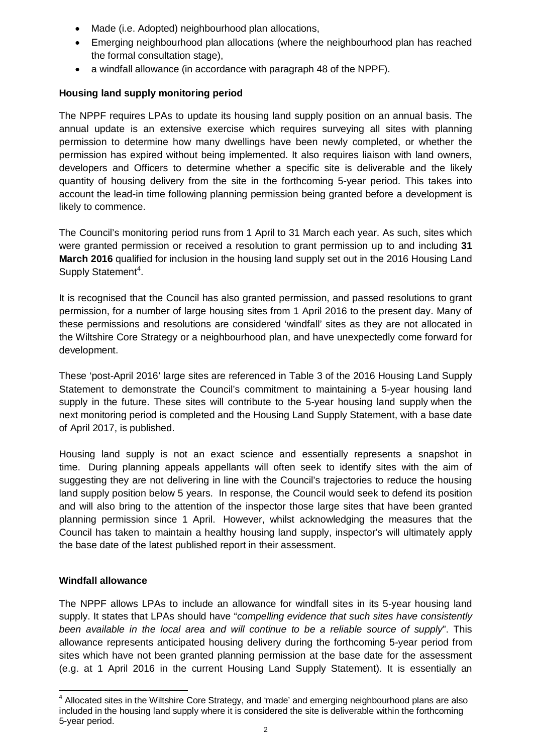- Made (i.e. Adopted) neighbourhood plan allocations,
- Emerging neighbourhood plan allocations (where the neighbourhood plan has reached the formal consultation stage),
- a windfall allowance (in accordance with paragraph 48 of the NPPF).

#### **Housing land supply monitoring period**

The NPPF requires LPAs to update its housing land supply position on an annual basis. The annual update is an extensive exercise which requires surveying all sites with planning permission to determine how many dwellings have been newly completed, or whether the permission has expired without being implemented. It also requires liaison with land owners, developers and Officers to determine whether a specific site is deliverable and the likely quantity of housing delivery from the site in the forthcoming 5-year period. This takes into account the lead-in time following planning permission being granted before a development is likely to commence.

The Council's monitoring period runs from 1 April to 31 March each year. As such, sites which were granted permission or received a resolution to grant permission up to and including **31 March 2016** qualified for inclusion in the housing land supply set out in the 2016 Housing Land Supply Statement<sup>[4](#page-1-0)</sup>.

It is recognised that the Council has also granted permission, and passed resolutions to grant permission, for a number of large housing sites from 1 April 2016 to the present day. Many of these permissions and resolutions are considered 'windfall' sites as they are not allocated in the Wiltshire Core Strategy or a neighbourhood plan, and have unexpectedly come forward for development.

These 'post-April 2016' large sites are referenced in Table 3 of the 2016 Housing Land Supply Statement to demonstrate the Council's commitment to maintaining a 5-year housing land supply in the future. These sites will contribute to the 5-year housing land supply when the next monitoring period is completed and the Housing Land Supply Statement, with a base date of April 2017, is published.

Housing land supply is not an exact science and essentially represents a snapshot in time. During planning appeals appellants will often seek to identify sites with the aim of suggesting they are not delivering in line with the Council's trajectories to reduce the housing land supply position below 5 years. In response, the Council would seek to defend its position and will also bring to the attention of the inspector those large sites that have been granted planning permission since 1 April. However, whilst acknowledging the measures that the Council has taken to maintain a healthy housing land supply, inspector's will ultimately apply the base date of the latest published report in their assessment.

#### **Windfall allowance**

The NPPF allows LPAs to include an allowance for windfall sites in its 5-year housing land supply. It states that LPAs should have "*compelling evidence that such sites have consistently been available in the local area and will continue to be a reliable source of supply*". This allowance represents anticipated housing delivery during the forthcoming 5-year period from sites which have not been granted planning permission at the base date for the assessment (e.g. at 1 April 2016 in the current Housing Land Supply Statement). It is essentially an

<span id="page-1-0"></span><sup>4</sup> Allocated sites in the Wiltshire Core Strategy, and 'made' and emerging neighbourhood plans are also included in the housing land supply where it is considered the site is deliverable within the forthcoming 5-year period.